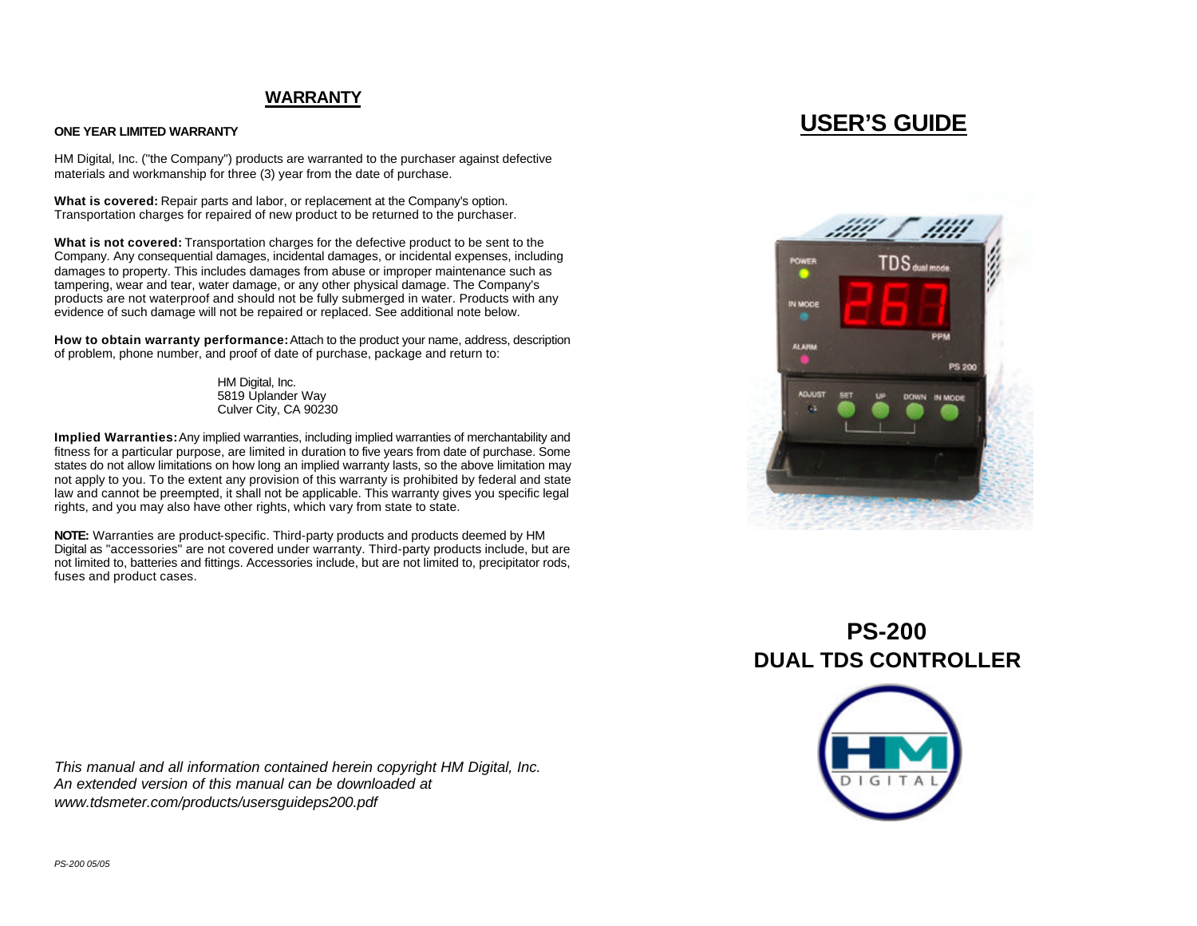### **WARRANTY**

### **ONE YEAR LIMITED WARRANTY**

HM Digital, Inc. ("the Company") products are warranted to the purchaser against defective materials and workmanship for three (3) year from the date of purchase.

**What is covered:** Repair parts and labor, or replacement at the Company's option. Transportation charges for repaired of new product to be returned to the purchaser.

**What is not covered:** Transportation charges for the defective product to be sent to the Company. Any consequential damages, incidental damages, or incidental expenses, including damages to property. This includes damages from abuse or improper maintenance such as tampering, wear and tear, water damage, or any other physical damage. The Company's products are not waterproof and should not be fully submerged in water. Products with any evidence of such damage will not be repaired or replaced. See additional note below.

**How to obtain warranty performance:** Attach to the product your name, address, description of problem, phone number, and proof of date of purchase, package and return to:

> HM Digital, Inc. 5819 Uplander Way Culver City, CA 90230

**Implied Warranties:** Any implied warranties, including implied warranties of merchantability and fitness for a particular purpose, are limited in duration to five years from date of purchase. Some states do not allow limitations on how long an implied warranty lasts, so the above limitation may not apply to you. To the extent any provision of this warranty is prohibited by federal and state law and cannot be preempted, it shall not be applicable. This warranty gives you specific legal rights, and you may also have other rights, which vary from state to state.

**NOTE:** Warranties are product-specific. Third-party products and products deemed by HM Digital as "accessories" are not covered under warranty. Third-party products include, but are not limited to, batteries and fittings. Accessories include, but are not limited to, precipitator rods, fuses and product cases.

*This manual and all information contained herein copyright HM Digital, Inc. An extended version of this manual can be downloaded at www.tdsmeter.com/products/usersguideps200.pdf*

## **USER'S GUIDE**



# **PS-200 DUAL TDS CONTROLLER**